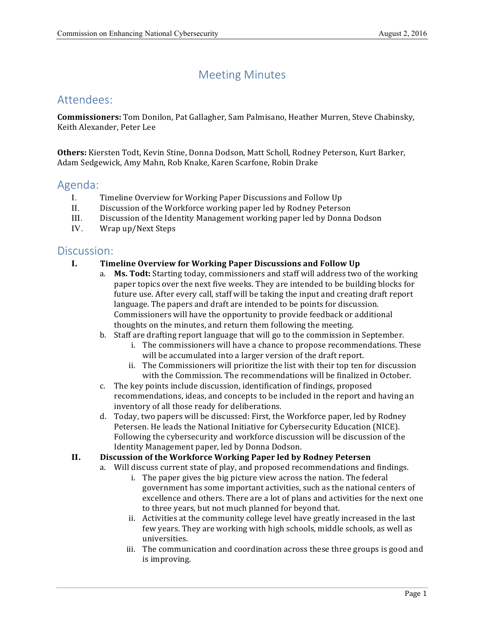# Meeting Minutes

## Attendees:

**Commissioners:** Tom Donilon, Pat Gallagher, Sam Palmisano, Heather Murren, Steve Chabinsky, Keith Alexander, Peter Lee

Others: Kiersten Todt, Kevin Stine, Donna Dodson, Matt Scholl, Rodney Peterson, Kurt Barker, Adam Sedgewick, Amy Mahn, Rob Knake, Karen Scarfone, Robin Drake

### Agenda:

- I. Timeline Overview for Working Paper Discussions and Follow Up
- II. Discussion of the Workforce working paper led by Rodney Peterson
- III. Discussion of the Identity Management working paper led by Donna Dodson
- IV. Wrap up/Next Steps

### Discussion:

#### **I. Timeline Overview for Working Paper Discussions and Follow Up**

- a. Ms. Todt: Starting today, commissioners and staff will address two of the working paper topics over the next five weeks. They are intended to be building blocks for future use. After every call, staff will be taking the input and creating draft report language. The papers and draft are intended to be points for discussion. Commissioners will have the opportunity to provide feedback or additional thoughts on the minutes, and return them following the meeting.
- b. Staff are drafting report language that will go to the commission in September.
	- i. The commissioners will have a chance to propose recommendations. These will be accumulated into a larger version of the draft report.
	- ii. The Commissioners will prioritize the list with their top ten for discussion with the Commission. The recommendations will be finalized in October.
- c. The key points include discussion, identification of findings, proposed recommendations, ideas, and concepts to be included in the report and having an inventory of all those ready for deliberations.
- d. Today, two papers will be discussed: First, the Workforce paper, led by Rodney Petersen. He leads the National Initiative for Cybersecurity Education (NICE). Following the cybersecurity and workforce discussion will be discussion of the Identity Management paper, led by Donna Dodson.
- **II. Discussion of the Workforce Working Paper led by Rodney Petersen**
	- a. Will discuss current state of play, and proposed recommendations and findings.
		- i. The paper gives the big picture view across the nation. The federal government has some important activities, such as the national centers of excellence and others. There are a lot of plans and activities for the next one to three years, but not much planned for beyond that.
		- ii. Activities at the community college level have greatly increased in the last few years. They are working with high schools, middle schools, as well as universities.
		- iii. The communication and coordination across these three groups is good and is improving.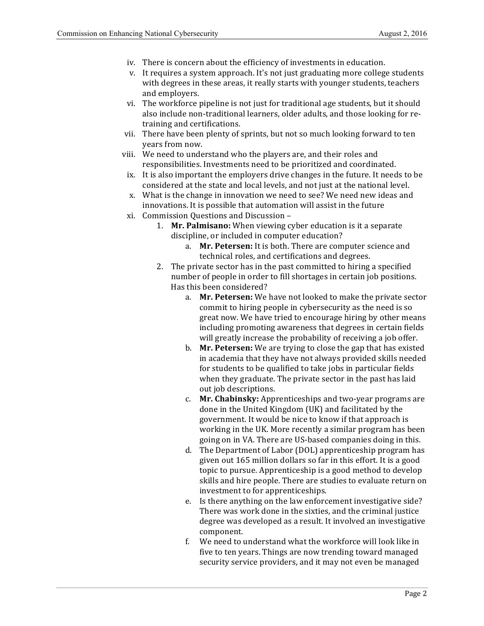- iv. There is concern about the efficiency of investments in education.
- v. It requires a system approach. It's not just graduating more college students with degrees in these areas, it really starts with younger students, teachers and employers.
- vi. The workforce pipeline is not just for traditional age students, but it should also include non-traditional learners, older adults, and those looking for re- training and certifications.
- vii. There have been plenty of sprints, but not so much looking forward to ten years from now.
- viii. We need to understand who the players are, and their roles and responsibilities. Investments need to be prioritized and coordinated.
- ix. It is also important the employers drive changes in the future. It needs to be considered at the state and local levels, and not just at the national level.
- x. What is the change in innovation we need to see? We need new ideas and innovations. It is possible that automation will assist in the future
- xi. Commission Questions and Discussion
	- 1. Mr. Palmisano: When viewing cyber education is it a separate discipline, or included in computer education?
		- a. Mr. Petersen: It is both. There are computer science and technical roles, and certifications and degrees.
	- 2. The private sector has in the past committed to hiring a specified number of people in order to fill shortages in certain job positions. Has this been considered?
		- a. Mr. Petersen: We have not looked to make the private sector commit to hiring people in cybersecurity as the need is so great now. We have tried to encourage hiring by other means including promoting awareness that degrees in certain fields will greatly increase the probability of receiving a job offer.
		- b. **Mr. Petersen:** We are trying to close the gap that has existed in academia that they have not always provided skills needed for students to be qualified to take jobs in particular fields when they graduate. The private sector in the past has laid out job descriptions.
		- c. **Mr. Chabinsky:** Apprenticeships and two-year programs are done in the United Kingdom (UK) and facilitated by the government. It would be nice to know if that approach is working in the UK. More recently a similar program has been going on in VA. There are US-based companies doing in this.
		- d. The Department of Labor (DOL) apprenticeship program has given out 165 million dollars so far in this effort. It is a good topic to pursue. Apprenticeship is a good method to develop skills and hire people. There are studies to evaluate return on investment to for apprenticeships.
		- e. Is there anything on the law enforcement investigative side? There was work done in the sixties, and the criminal justice degree was developed as a result. It involved an investigative component.
		- f. We need to understand what the workforce will look like in five to ten years. Things are now trending toward managed security service providers, and it may not even be managed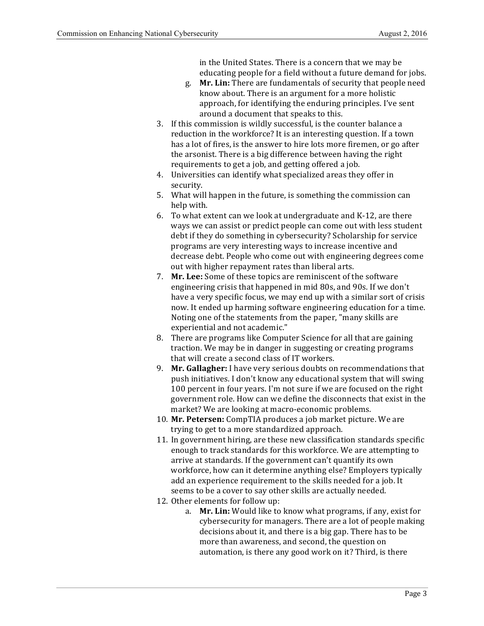in the United States. There is a concern that we may be educating people for a field without a future demand for jobs.

- g. Mr. Lin: There are fundamentals of security that people need know about. There is an argument for a more holistic approach, for identifying the enduring principles. I've sent around a document that speaks to this.
- 3. If this commission is wildly successful, is the counter balance a reduction in the workforce? It is an interesting question. If a town has a lot of fires, is the answer to hire lots more firemen, or go after the arsonist. There is a big difference between having the right requirements to get a job, and getting offered a job.
- 4. Universities can identify what specialized areas they offer in security.
- 5. What will happen in the future, is something the commission can help with.
- 6. To what extent can we look at undergraduate and K-12, are there ways we can assist or predict people can come out with less student debt if they do something in cybersecurity? Scholarship for service programs are very interesting ways to increase incentive and decrease debt. People who come out with engineering degrees come out with higher repayment rates than liberal arts.
- 7. **Mr. Lee:** Some of these topics are reminiscent of the software engineering crisis that happened in mid 80s, and 90s. If we don't have a very specific focus, we may end up with a similar sort of crisis now. It ended up harming software engineering education for a time. Noting one of the statements from the paper, "many skills are experiential and not academic."
- 8. There are programs like Computer Science for all that are gaining traction. We may be in danger in suggesting or creating programs that will create a second class of IT workers.
- 9. Mr. Gallagher: I have very serious doubts on recommendations that push initiatives. I don't know any educational system that will swing 100 percent in four years. I'm not sure if we are focused on the right government role. How can we define the disconnects that exist in the market? We are looking at macro-economic problems.
- 10. Mr. Petersen: CompTIA produces a job market picture. We are trying to get to a more standardized approach.
- 11. In government hiring, are these new classification standards specific enough to track standards for this workforce. We are attempting to arrive at standards. If the government can't quantify its own workforce, how can it determine anything else? Employers typically add an experience requirement to the skills needed for a job. It seems to be a cover to say other skills are actually needed.
- 12. Other elements for follow up:
	- a. Mr. Lin: Would like to know what programs, if any, exist for cybersecurity for managers. There are a lot of people making decisions about it, and there is a big gap. There has to be more than awareness, and second, the question on automation, is there any good work on it? Third, is there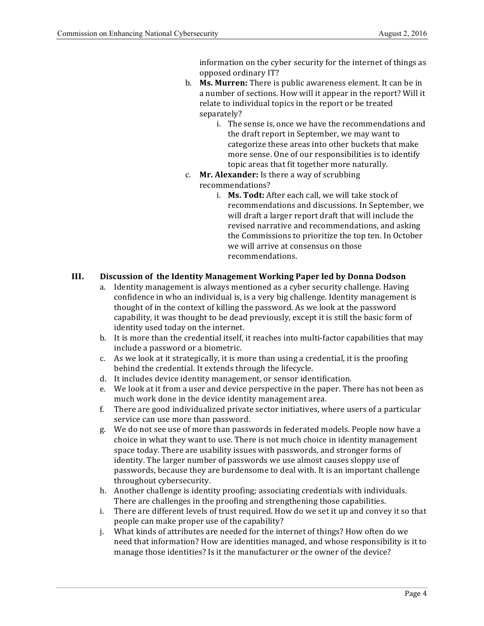information on the cyber security for the internet of things as opposed ordinary IT?

- b. **Ms. Murren:** There is public awareness element. It can be in a number of sections. How will it appear in the report? Will it relate to individual topics in the report or be treated separately?
	- i. The sense is, once we have the recommendations and the draft report in September, we may want to categorize these areas into other buckets that make more sense. One of our responsibilities is to identify topic areas that fit together more naturally.
- c. **Mr. Alexander:** Is there a way of scrubbing recommendations?
	- i. **Ms. Todt:** After each call, we will take stock of recommendations and discussions. In September, we will draft a larger report draft that will include the revised narrative and recommendations, and asking the Commissions to prioritize the top ten. In October we will arrive at consensus on those recommendations.

### **III. Discussion of the Identity Management Working Paper led by Donna Dodson**

- a. Identity management is always mentioned as a cyber security challenge. Having confidence in who an individual is, is a very big challenge. Identity management is thought of in the context of killing the password. As we look at the password capability, it was thought to be dead previously, except it is still the basic form of identity used today on the internet.
- b. It is more than the credential itself, it reaches into multi-factor capabilities that may include a password or a biometric.
- c. As we look at it strategically, it is more than using a credential, it is the proofing behind the credential. It extends through the lifecycle.
- d. It includes device identity management, or sensor identification.
- e. We look at it from a user and device perspective in the paper. There has not been as much work done in the device identity management area.
- f. There are good individualized private sector initiatives, where users of a particular service can use more than password.
- g. We do not see use of more than passwords in federated models. People now have a choice in what they want to use. There is not much choice in identity management space today. There are usability issues with passwords, and stronger forms of identity. The larger number of passwords we use almost causes sloppy use of passwords, because they are burdensome to deal with. It is an important challenge throughout cybersecurity.
- h. Another challenge is identity proofing; associating credentials with individuals. There are challenges in the proofing and strengthening those capabilities.
- i. There are different levels of trust required. How do we set it up and convey it so that people can make proper use of the capability?
- j. What kinds of attributes are needed for the internet of things? How often do we need that information? How are identities managed, and whose responsibility is it to manage those identities? Is it the manufacturer or the owner of the device?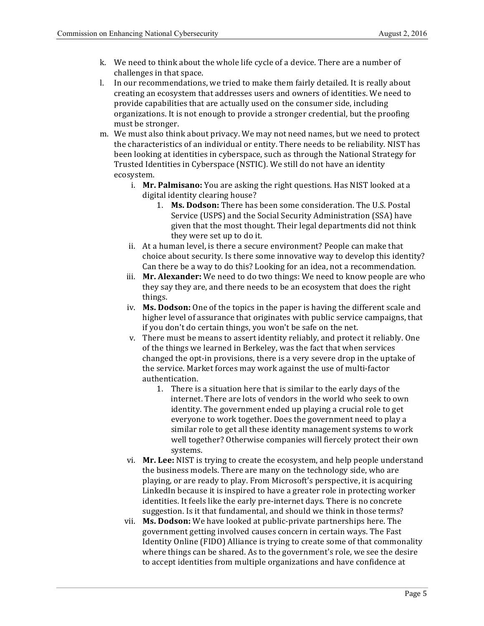- k. We need to think about the whole life cycle of a device. There are a number of challenges in that space.
- l. In our recommendations, we tried to make them fairly detailed. It is really about creating an ecosystem that addresses users and owners of identities. We need to provide capabilities that are actually used on the consumer side, including organizations. It is not enough to provide a stronger credential, but the proofing must be stronger.
- m. We must also think about privacy. We may not need names, but we need to protect the characteristics of an individual or entity. There needs to be reliability. NIST has been looking at identities in cyberspace, such as through the National Strategy for Trusted Identities in Cyberspace (NSTIC). We still do not have an identity ecosystem.
	- i. Mr. Palmisano: You are asking the right questions. Has NIST looked at a digital identity clearing house?
		- 1. Ms. Dodson: There has been some consideration. The U.S. Postal Service (USPS) and the Social Security Administration (SSA) have given that the most thought. Their legal departments did not think they were set up to do it.
	- ii. At a human level, is there a secure environment? People can make that Can there be a way to do this? Looking for an idea, not a recommendation. choice about security. Is there some innovative way to develop this identity?
	- iii. Mr. Alexander: We need to do two things: We need to know people are who they say they are, and there needs to be an ecosystem that does the right things.
	- iv. **Ms. Dodson:** One of the topics in the paper is having the different scale and higher level of assurance that originates with public service campaigns, that if you don't do certain things, you won't be safe on the net.
	- v. There must be means to assert identity reliably, and protect it reliably. One of the things we learned in Berkeley, was the fact that when services changed the opt-in provisions, there is a very severe drop in the uptake of the service. Market forces may work against the use of multi-factor authentication.
		- 1. There is a situation here that is similar to the early days of the internet. There are lots of vendors in the world who seek to own identity. The government ended up playing a crucial role to get everyone to work together. Does the government need to play a similar role to get all these identity management systems to work well together? Otherwise companies will fiercely protect their own systems.
	- vi. Mr. Lee: NIST is trying to create the ecosystem, and help people understand the business models. There are many on the technology side, who are playing, or are ready to play. From Microsoft's perspective, it is acquiring LinkedIn because it is inspired to have a greater role in protecting worker identities. It feels like the early pre-internet days. There is no concrete suggestion. Is it that fundamental, and should we think in those terms?
	- vii. **Ms. Dodson:** We have looked at public-private partnerships here. The government getting involved causes concern in certain ways. The Fast Identity Online (FIDO) Alliance is trying to create some of that commonality where things can be shared. As to the government's role, we see the desire to accept identities from multiple organizations and have confidence at